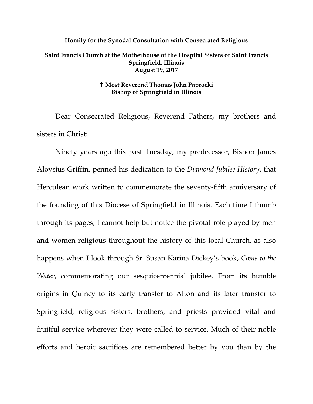## **Homily for the Synodal Consultation with Consecrated Religious Saint Francis Church at the Motherhouse of the Hospital Sisters of Saint Francis Springfield, Illinois August 19, 2017**

## **Most Reverend Thomas John Paprocki Bishop of Springfield in Illinois**

Dear Consecrated Religious, Reverend Fathers, my brothers and sisters in Christ:

Ninety years ago this past Tuesday, my predecessor, Bishop James Aloysius Griffin, penned his dedication to the *Diamond Jubilee History*, that Herculean work written to commemorate the seventy-fifth anniversary of the founding of this Diocese of Springfield in Illinois. Each time I thumb through its pages, I cannot help but notice the pivotal role played by men and women religious throughout the history of this local Church, as also happens when I look through Sr. Susan Karina Dickey's book, *Come to the Water*, commemorating our sesquicentennial jubilee. From its humble origins in Quincy to its early transfer to Alton and its later transfer to Springfield, religious sisters, brothers, and priests provided vital and fruitful service wherever they were called to service. Much of their noble efforts and heroic sacrifices are remembered better by you than by the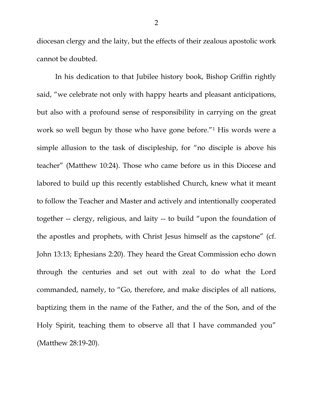diocesan clergy and the laity, but the effects of their zealous apostolic work cannot be doubted.

In his dedication to that Jubilee history book, Bishop Griffin rightly said, "we celebrate not only with happy hearts and pleasant anticipations, but also with a profound sense of responsibility in carrying on the great work so well begun by those who have gone before."[1](#page-7-0) His words were a simple allusion to the task of discipleship, for "no disciple is above his teacher" (Matthew 10:24). Those who came before us in this Diocese and labored to build up this recently established Church, knew what it meant to follow the Teacher and Master and actively and intentionally cooperated together -- clergy, religious, and laity -- to build "upon the foundation of the apostles and prophets, with Christ Jesus himself as the capstone" (cf. John 13:13; Ephesians 2:20). They heard the Great Commission echo down through the centuries and set out with zeal to do what the Lord commanded, namely, to "Go, therefore, and make disciples of all nations, baptizing them in the name of the Father, and the of the Son, and of the Holy Spirit, teaching them to observe all that I have commanded you" (Matthew 28:19-20).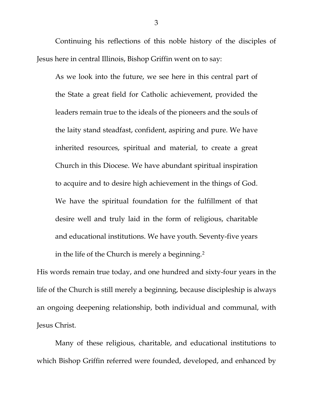Continuing his reflections of this noble history of the disciples of Jesus here in central Illinois, Bishop Griffin went on to say:

As we look into the future, we see here in this central part of the State a great field for Catholic achievement, provided the leaders remain true to the ideals of the pioneers and the souls of the laity stand steadfast, confident, aspiring and pure. We have inherited resources, spiritual and material, to create a great Church in this Diocese. We have abundant spiritual inspiration to acquire and to desire high achievement in the things of God. We have the spiritual foundation for the fulfillment of that desire well and truly laid in the form of religious, charitable and educational institutions. We have youth. Seventy-five years in the life of the Church is merely a beginning.[2](#page-7-1)

His words remain true today, and one hundred and sixty-four years in the life of the Church is still merely a beginning, because discipleship is always an ongoing deepening relationship, both individual and communal, with Jesus Christ.

Many of these religious, charitable, and educational institutions to which Bishop Griffin referred were founded, developed, and enhanced by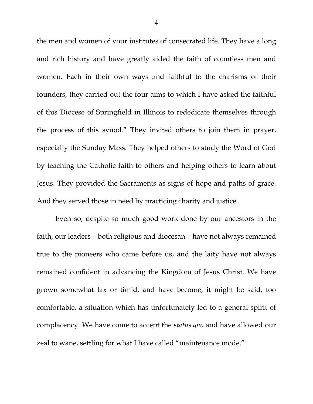the men and women of your institutes of consecrated life. They have a long and rich history and have greatly aided the faith of countless men and women. Each in their own ways and faithful to the charisms of their founders, they carried out the four aims to which I have asked the faithful of this Diocese of Springfield in Illinois to rededicate themselves through the process of this synod.[3](#page-7-2) They invited others to join them in prayer, especially the Sunday Mass. They helped others to study the Word of God by teaching the Catholic faith to others and helping others to learn about Jesus. They provided the Sacraments as signs of hope and paths of grace. And they served those in need by practicing charity and justice.

Even so, despite so much good work done by our ancestors in the faith, our leaders – both religious and diocesan – have not always remained true to the pioneers who came before us, and the laity have not always remained confident in advancing the Kingdom of Jesus Christ. We have grown somewhat lax or timid, and have become, it might be said, too comfortable, a situation which has unfortunately led to a general spirit of complacency. We have come to accept the *status quo* and have allowed our zeal to wane, settling for what I have called "maintenance mode."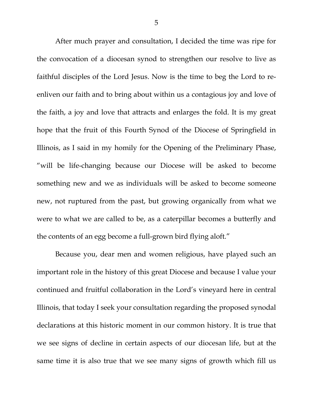After much prayer and consultation, I decided the time was ripe for the convocation of a diocesan synod to strengthen our resolve to live as faithful disciples of the Lord Jesus. Now is the time to beg the Lord to reenliven our faith and to bring about within us a contagious joy and love of the faith, a joy and love that attracts and enlarges the fold. It is my great hope that the fruit of this Fourth Synod of the Diocese of Springfield in Illinois, as I said in my homily for the Opening of the Preliminary Phase, "will be life-changing because our Diocese will be asked to become something new and we as individuals will be asked to become someone new, not ruptured from the past, but growing organically from what we were to what we are called to be, as a caterpillar becomes a butterfly and the contents of an egg become a full-grown bird flying aloft."

Because you, dear men and women religious, have played such an important role in the history of this great Diocese and because I value your continued and fruitful collaboration in the Lord's vineyard here in central Illinois, that today I seek your consultation regarding the proposed synodal declarations at this historic moment in our common history. It is true that we see signs of decline in certain aspects of our diocesan life, but at the same time it is also true that we see many signs of growth which fill us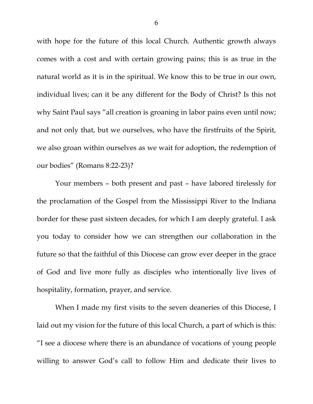with hope for the future of this local Church. Authentic growth always comes with a cost and with certain growing pains; this is as true in the natural world as it is in the spiritual. We know this to be true in our own, individual lives; can it be any different for the Body of Christ? Is this not why Saint Paul says "all creation is groaning in labor pains even until now; and not only that, but we ourselves, who have the firstfruits of the Spirit, we also groan within ourselves as we wait for adoption, the redemption of our bodies" (Romans 8:22-23)?

Your members – both present and past – have labored tirelessly for the proclamation of the Gospel from the Mississippi River to the Indiana border for these past sixteen decades, for which I am deeply grateful. I ask you today to consider how we can strengthen our collaboration in the future so that the faithful of this Diocese can grow ever deeper in the grace of God and live more fully as disciples who intentionally live lives of hospitality, formation, prayer, and service.

When I made my first visits to the seven deaneries of this Diocese, I laid out my vision for the future of this local Church, a part of which is this: "I see a diocese where there is an abundance of vocations of young people willing to answer God's call to follow Him and dedicate their lives to

6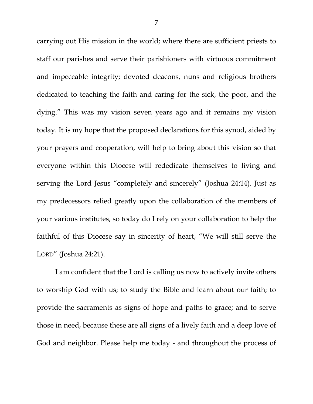carrying out His mission in the world; where there are sufficient priests to staff our parishes and serve their parishioners with virtuous commitment and impeccable integrity; devoted deacons, nuns and religious brothers dedicated to teaching the faith and caring for the sick, the poor, and the dying." This was my vision seven years ago and it remains my vision today. It is my hope that the proposed declarations for this synod, aided by your prayers and cooperation, will help to bring about this vision so that everyone within this Diocese will rededicate themselves to living and serving the Lord Jesus "completely and sincerely" (Joshua 24:14). Just as my predecessors relied greatly upon the collaboration of the members of your various institutes, so today do I rely on your collaboration to help the faithful of this Diocese say in sincerity of heart, "We will still serve the LORD" (Joshua 24:21).

I am confident that the Lord is calling us now to actively invite others to worship God with us; to study the Bible and learn about our faith; to provide the sacraments as signs of hope and paths to grace; and to serve those in need, because these are all signs of a lively faith and a deep love of God and neighbor. Please help me today - and throughout the process of